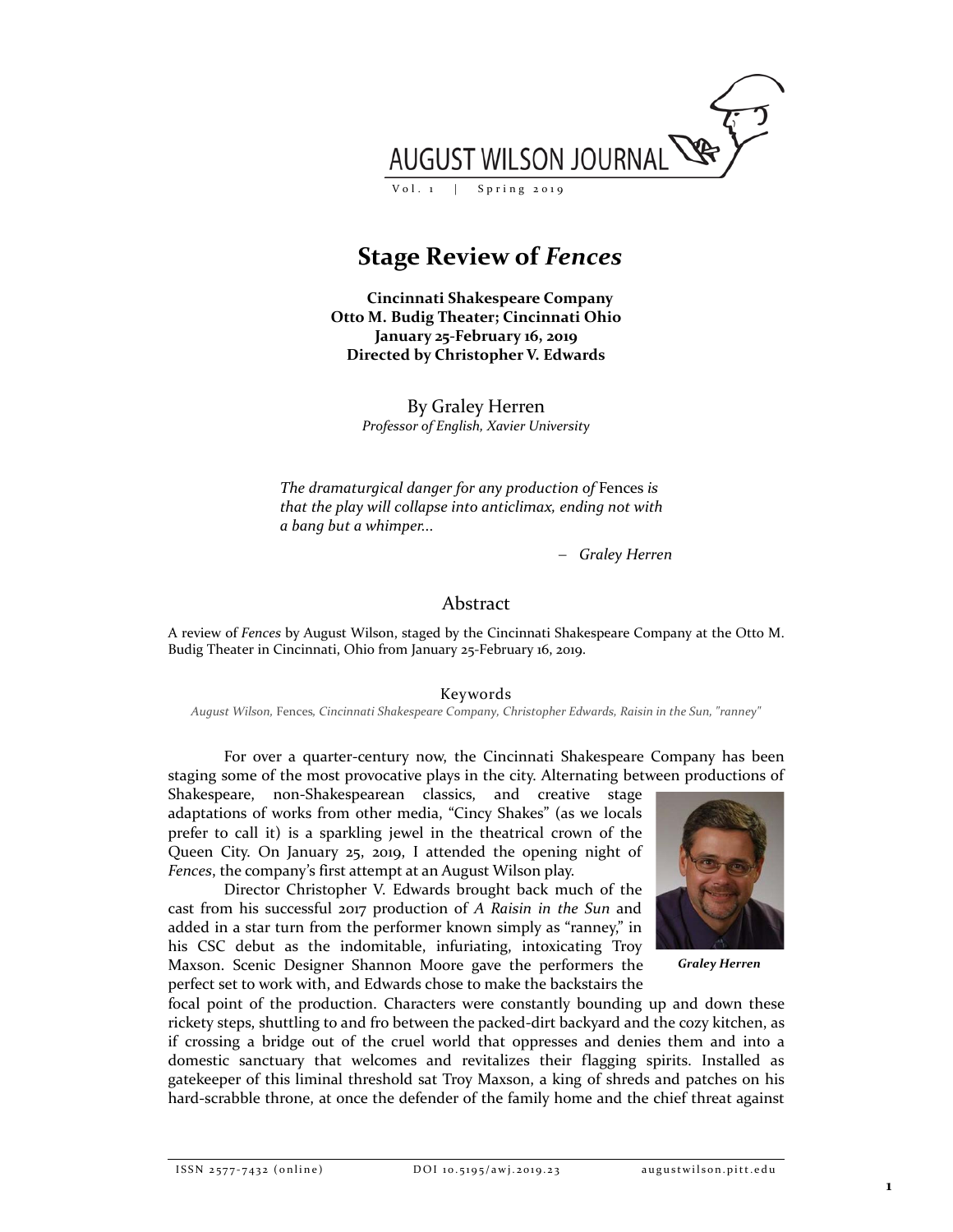

**Stage Review of** *Fences*

**Cincinnati Shakespeare Company Otto M. Budig Theater; Cincinnati Ohio January 25-February 16, 2019 Directed by Christopher V. Edwards**

> By Graley Herren *Professor of English, Xavier University*

*The dramaturgical danger for any production of* Fences *is that the play will collapse into anticlimax, ending not with a bang but a whimper...*

− *Graley Herren*

## Abstract

A review of *Fences* by August Wilson, staged by the Cincinnati Shakespeare Company at the Otto M. Budig Theater in Cincinnati, Ohio from January 25-February 16, 2019.

Keywords

*August Wilson,* Fences*, Cincinnati Shakespeare Company, Christopher Edwards, Raisin in the Sun, "ranney"* 

For over a quarter-century now, the Cincinnati Shakespeare Company has been staging some of the most provocative plays in the city. Alternating between productions of

Shakespeare, non-Shakespearean classics, and creative stage adaptations of works from other media, "Cincy Shakes" (as we locals prefer to call it) is a sparkling jewel in the theatrical crown of the Queen City. On January 25, 2019, I attended the opening night of *Fences*, the company's first attempt at an August Wilson play.

Director Christopher V. Edwards brought back much of the cast from his successful 2017 production of *A Raisin in the Sun* and added in a star turn from the performer known simply as "ranney," in his CSC debut as the indomitable, infuriating, intoxicating Troy Maxson. Scenic Designer Shannon Moore gave the performers the perfect set to work with, and Edwards chose to make the backstairs the



*Graley Herren*

focal point of the production. Characters were constantly bounding up and down these rickety steps, shuttling to and fro between the packed-dirt backyard and the cozy kitchen, as if crossing a bridge out of the cruel world that oppresses and denies them and into a domestic sanctuary that welcomes and revitalizes their flagging spirits. Installed as gatekeeper of this liminal threshold sat Troy Maxson, a king of shreds and patches on his hard-scrabble throne, at once the defender of the family home and the chief threat against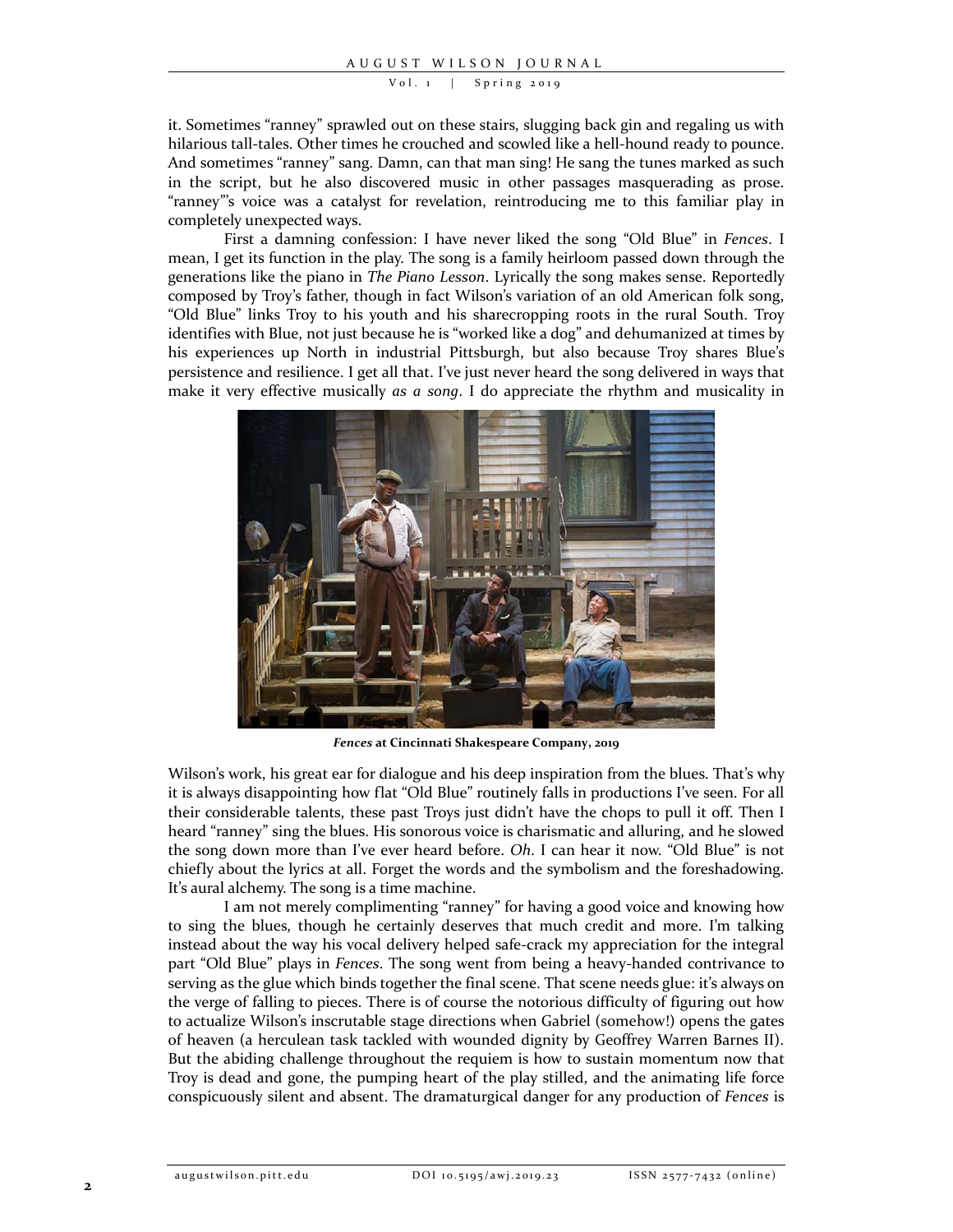Vol. 1 | Spring 2019

it. Sometimes "ranney" sprawled out on these stairs, slugging back gin and regaling us with hilarious tall-tales. Other times he crouched and scowled like a hell-hound ready to pounce. And sometimes "ranney" sang. Damn, can that man sing! He sang the tunes marked as such in the script, but he also discovered music in other passages masquerading as prose. "ranney"'s voice was a catalyst for revelation, reintroducing me to this familiar play in completely unexpected ways.

First a damning confession: I have never liked the song "Old Blue" in *Fences*. I mean, I get its function in the play. The song is a family heirloom passed down through the generations like the piano in *The Piano Lesson*. Lyrically the song makes sense. Reportedly composed by Troy's father, though in fact Wilson's variation of an old American folk song, "Old Blue" links Troy to his youth and his sharecropping roots in the rural South. Troy identifies with Blue, not just because he is "worked like a dog" and dehumanized at times by his experiences up North in industrial Pittsburgh, but also because Troy shares Blue's persistence and resilience. I get all that. I've just never heard the song delivered in ways that make it very effective musically *as a song*. I do appreciate the rhythm and musicality in



*Fences* **at Cincinnati Shakespeare Company, 2019**

Wilson's work, his great ear for dialogue and his deep inspiration from the blues. That's why it is always disappointing how flat "Old Blue" routinely falls in productions I've seen. For all their considerable talents, these past Troys just didn't have the chops to pull it off. Then I heard "ranney" sing the blues. His sonorous voice is charismatic and alluring, and he slowed the song down more than I've ever heard before. *Oh*. I can hear it now. "Old Blue" is not chiefly about the lyrics at all. Forget the words and the symbolism and the foreshadowing. It's aural alchemy. The song is a time machine.

I am not merely complimenting "ranney" for having a good voice and knowing how to sing the blues, though he certainly deserves that much credit and more. I'm talking instead about the way his vocal delivery helped safe-crack my appreciation for the integral part "Old Blue" plays in *Fences*. The song went from being a heavy-handed contrivance to serving as the glue which binds together the final scene. That scene needs glue: it's always on the verge of falling to pieces. There is of course the notorious difficulty of figuring out how to actualize Wilson's inscrutable stage directions when Gabriel (somehow!) opens the gates of heaven (a herculean task tackled with wounded dignity by Geoffrey Warren Barnes II). But the abiding challenge throughout the requiem is how to sustain momentum now that Troy is dead and gone, the pumping heart of the play stilled, and the animating life force conspicuously silent and absent. The dramaturgical danger for any production of *Fences* is